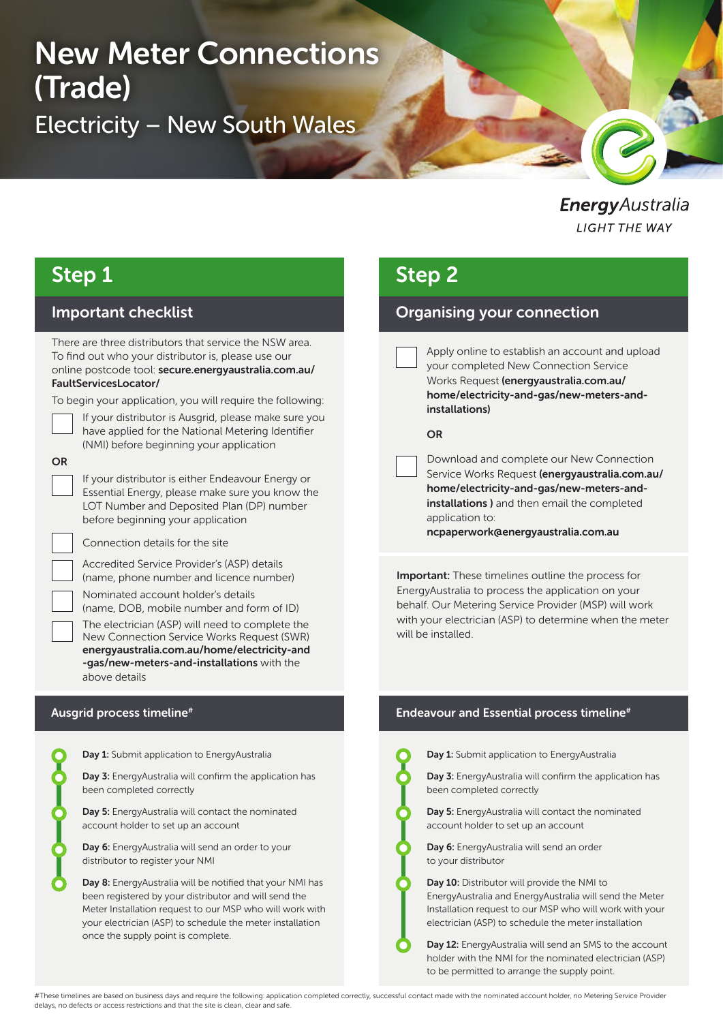# New Meter Connections (Trade) Electricity – New South Wales

### EnergyAustralia **LIGHT THE WAY**

### Step 1

#### Important checklist

There are three distributors that service the NSW area. To find out who your distributor is, please use our online postcode tool: secure.energyaustralia.com.au/ FaultServicesLocator/

To begin your application, you will require the following:

If your distributor is Ausgrid, please make sure you have applied for the National Metering Identifier (NMI) before beginning your application

#### **OR**

If your distributor is either Endeavour Energy or Essential Energy, please make sure you know the LOT Number and Deposited Plan (DP) number before beginning your application

Connection details for the site

Accredited Service Provider's (ASP) details (name, phone number and licence number)

Nominated account holder's details

(name, DOB, mobile number and form of ID) The electrician (ASP) will need to complete the New Connection Service Works Request (SWR) energyaustralia.com.au/home/electricity-and -gas/new-meters-and-installations with the above details

| <b>Day 1:</b> Submit application to Energy Australia                                                                 |
|----------------------------------------------------------------------------------------------------------------------|
| <b>Day 3:</b> Energy Australia will confirm the application<br>been completed correctly                              |
| Day 5: EnergyAustralia will contact the nominated<br>account holder to set up an account                             |
| <b>Day 6:</b> Energy Australia will send an order to your<br>distributor to register your NMI                        |
| <b>Day 8:</b> Energy Australia will be notified that your NN<br>been registered by your distributor and will send th |

our NMI has end the Meter Installation request to our MSP who will work with your electrician (ASP) to schedule the meter installation once the supply point is complete.

### Step 2

### Organising your connection

Apply online to establish an account and upload your completed New Connection Service Works Request (energyaustralia.com.au/ home/electricity-and-gas/new-meters-andinstallations)

#### OR

Download and complete our New Connection Service Works Request (energyaustralia.com.au/ home/electricity-and-gas/new-meters-andinstallations ) and then email the completed application to:

ncpaperwork@energyaustralia.com.au

**Important:** These timelines outline the process for EnergyAustralia to process the application on your behalf. Our Metering Service Provider (MSP) will work with your electrician (ASP) to determine when the meter will be installed.

#### Ausgrid process timeline<sup>#</sup> The sense of the Endeavour and Essential process timeline<sup>#</sup>



Day 1: Submit application to EnergyAustralia

Day 3: EnergyAustralia will confirm the application has been completed correctly

Day 5: EnergyAustralia will contact the nominated account holder to set up an account

Day 6: EnergyAustralia will send an order to your distributor

Day 10: Distributor will provide the NMI to EnergyAustralia and EnergyAustralia will send the Meter Installation request to our MSP who will work with your electrician (ASP) to schedule the meter installation

Day 12: EnergyAustralia will send an SMS to the account holder with the NMI for the nominated electrician (ASP) to be permitted to arrange the supply point.

#These timelines are based on business days and require the following: application completed correctly, successful contact made with the nominated account holder, no Metering Service Provider delays, no defects or access restrictions and that the site is clean, clear and safe.

cation has